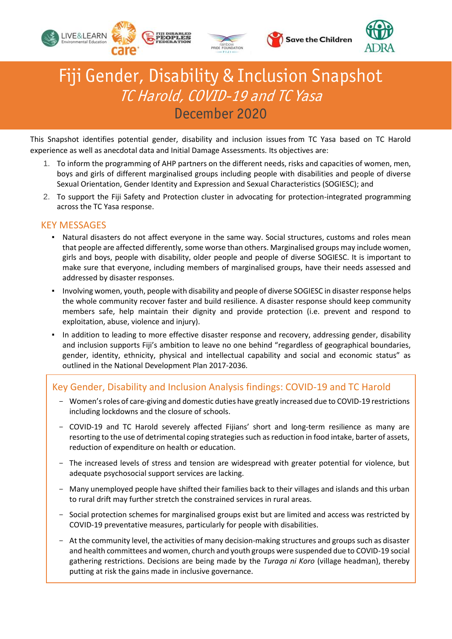



**Save the Children** 



# Fiji Gender, Disability & Inclusion Snapshot TC Harold, COVID-19 and TC Yasa December 2020

This Snapshot identifies potential gender, disability and inclusion issues from TC Yasa based on TC Harold experience as well as anecdotal data and Initial Damage Assessments. Its objectives are:

- 1. To inform the programming of AHP partners on the different needs, risks and capacities of women, men, boys and girls of different marginalised groups including people with disabilities and people of diverse Sexual Orientation, Gender Identity and Expression and Sexual Characteristics (SOGIESC); and
- 2. To support the Fiji Safety and Protection cluster in advocating for protection-integrated programming across the TC Yasa response.

## KEY MESSAGES

- Natural disasters do not affect everyone in the same way. Social structures, customs and roles mean that people are affected differently, some worse than others. Marginalised groups may include women, girls and boys, people with disability, older people and people of diverse SOGIESC. It is important to make sure that everyone, including members of marginalised groups, have their needs assessed and addressed by disaster responses.
- Involving women, youth, people with disability and people of diverse SOGIESC in disaster response helps the whole community recover faster and build resilience. A disaster response should keep community members safe, help maintain their dignity and provide protection (i.e. prevent and respond to exploitation, abuse, violence and injury).
- In addition to leading to more effective disaster response and recovery, addressing gender, disability and inclusion supports Fiji's ambition to leave no one behind "regardless of geographical boundaries, gender, identity, ethnicity, physical and intellectual capability and social and economic status" as outlined in the National Development Plan 2017-2036.

# Key Gender, Disability and Inclusion Analysis findings: COVID-19 and TC Harold

- Women's roles of care-giving and domestic duties have greatly increased due to COVID-19 restrictions including lockdowns and the closure of schools.
- COVID-19 and TC Harold severely affected Fijians' short and long-term resilience as many are resorting to the use of detrimental coping strategies such as reduction in food intake, barter of assets, reduction of expenditure on health or education.
- The increased levels of stress and tension are widespread with greater potential for violence, but adequate psychosocial support services are lacking.
- Many unemployed people have shifted their families back to their villages and islands and this urban to rural drift may further stretch the constrained services in rural areas.
- Social protection schemes for marginalised groups exist but are limited and access was restricted by COVID-19 preventative measures, particularly for people with disabilities.
- At the community level, the activities of many decision-making structures and groups such as disaster and health committees and women, church and youth groups were suspended due to COVID-19 social gathering restrictions. Decisions are being made by the *Turaga ni Koro* (village headman), thereby putting at risk the gains made in inclusive governance.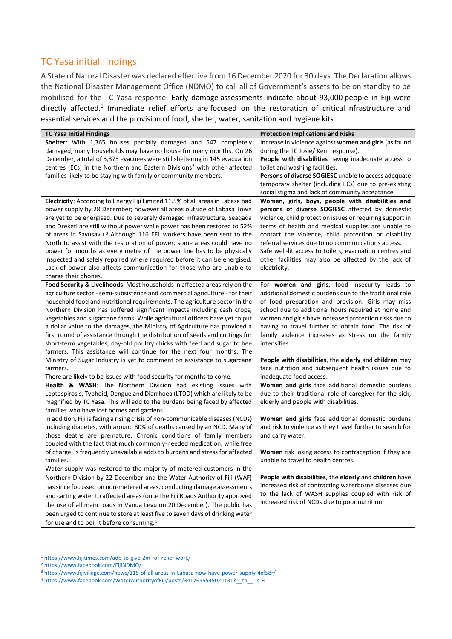# TC Yasa initial findings

A State of Natural Disaster was declared effective from 16 December 2020 for 30 days. The Declaration allows the National Disaster Management Office (NDMO) to call all of Government's assets to be on standby to be mobilised for the TC Yasa response. Early damage assessments indicate about 93,000 people in Fiji were directly affected.<sup>1</sup> Immediate relief efforts are focused on the restoration of critical infrastructure and essential services and the provision of food, shelter, water, sanitation and hygiene kits.

| <b>TC Yasa Initial Findings</b>                                                                                                                          | <b>Protection Implications and Risks</b>                                                                       |
|----------------------------------------------------------------------------------------------------------------------------------------------------------|----------------------------------------------------------------------------------------------------------------|
| Shelter: With 1,365 houses partially damaged and 547 completely                                                                                          | Increase in violence against women and girls (as found                                                         |
| damaged, many households may have no house for many months. On 26                                                                                        | during the TC Josie/ Keni response).                                                                           |
| December, a total of 5,373 evacuees were still sheltering in 145 evacuation                                                                              | People with disabilities having inadequate access to                                                           |
| centres (ECs) in the Northern and Eastern Divisions <sup>2</sup> with other affected                                                                     | toilet and washing facilities.                                                                                 |
| families likely to be staying with family or community members.                                                                                          | Persons of diverse SOGIESC unable to access adequate                                                           |
|                                                                                                                                                          | temporary shelter (including ECs) due to pre-existing                                                          |
|                                                                                                                                                          | social stigma and lack of community acceptance.                                                                |
| Electricity: According to Energy Fiji Limited 11.5% of all areas in Labasa had                                                                           | Women, girls, boys, people with disabilities and                                                               |
| power supply by 28 December; however all areas outside of Labasa Town                                                                                    | persons of diverse SOGIESC affected by domestic                                                                |
| are yet to be energised. Due to severely damaged infrastructure, Seaqaqa                                                                                 | violence, child protection issues or requiring support in                                                      |
| and Dreketi are still without power while power has been restored to 52%                                                                                 | terms of health and medical supplies are unable to                                                             |
| of areas in Savusavu. <sup>3</sup> Although 116 EFL workers have been sent to the                                                                        | contact the violence, child protection or disability                                                           |
| North to assist with the restoration of power, some areas could have no                                                                                  | referral services due to no communications access.                                                             |
| power for months as every metre of the power line has to be physically                                                                                   | Safe well-lit access to toilets, evacuation centres and                                                        |
| inspected and safely repaired where required before it can be energised.                                                                                 | other facilities may also be affected by the lack of                                                           |
| Lack of power also affects communication for those who are unable to                                                                                     | electricity.                                                                                                   |
| charge their phones.                                                                                                                                     |                                                                                                                |
| Food Security & Livelihoods: Most households in affected areas rely on the                                                                               | For women and girls, food insecurity leads to                                                                  |
| agriculture sector - semi-subsistence and commercial agriculture - for their                                                                             | additional domestic burdens due to the traditional role                                                        |
| household food and nutritional requirements. The agriculture sector in the                                                                               | of food preparation and provision. Girls may miss                                                              |
| Northern Division has suffered significant impacts including cash crops,                                                                                 | school due to additional hours required at home and                                                            |
| vegetables and sugarcane farms. While agricultural officers have yet to put<br>a dollar value to the damages, the Ministry of Agriculture has provided a | women and girls have increased protection risks due to<br>having to travel further to obtain food. The risk of |
| first round of assistance through the distribution of seeds and cuttings for                                                                             | family violence increases as stress on the family                                                              |
| short-term vegetables, day-old poultry chicks with feed and sugar to bee                                                                                 | intensifies.                                                                                                   |
| farmers. This assistance will continue for the next four months. The                                                                                     |                                                                                                                |
| Ministry of Sugar Industry is yet to comment on assistance to sugarcane                                                                                  | People with disabilities, the elderly and children may                                                         |
| farmers.                                                                                                                                                 | face nutrition and subsequent health issues due to                                                             |
| There are likely to be issues with food security for months to come.                                                                                     | inadequate food access.                                                                                        |
| Health & WASH: The Northern Division had existing issues with                                                                                            | Women and girls face additional domestic burdens                                                               |
| Leptospirosis, Typhoid, Dengue and Diarrhoea (LTDD) which are likely to be                                                                               | due to their traditional role of caregiver for the sick,                                                       |
| magnified by TC Yasa. This will add to the burdens being faced by affected                                                                               | elderly and people with disabilities.                                                                          |
| families who have lost homes and gardens.                                                                                                                |                                                                                                                |
| In addition, Fiji is facing a rising crisis of non-communicable diseases (NCDs)                                                                          | Women and girls face additional domestic burdens                                                               |
| including diabetes, with around 80% of deaths caused by an NCD. Many of                                                                                  | and risk to violence as they travel further to search for                                                      |
| those deaths are premature. Chronic conditions of family members                                                                                         | and carry water.                                                                                               |
| coupled with the fact that much commonly-needed medication, while free                                                                                   |                                                                                                                |
| of charge, is frequently unavailable adds to burdens and stress for affected                                                                             | Women risk losing access to contraception if they are                                                          |
| families.                                                                                                                                                | unable to travel to health centres.                                                                            |
| Water supply was restored to the majority of metered customers in the                                                                                    |                                                                                                                |
| Northern Division by 22 December and the Water Authority of Fiji (WAF)                                                                                   | People with disabilities, the elderly and children have                                                        |
| has since focussed on non-metered areas, conducting damage assessments                                                                                   | increased risk of contracting waterborne diseases due                                                          |
| and carting water to affected areas (once the Fiji Roads Authority approved                                                                              | to the lack of WASH supplies coupled with risk of                                                              |
| the use of all main roads in Vanua Levu on 20 December). The public has                                                                                  | increased risk of NCDs due to poor nutrition.                                                                  |
| been urged to continue to store at least five to seven days of drinking water                                                                            |                                                                                                                |
|                                                                                                                                                          |                                                                                                                |

<sup>1</sup> <https://www.fijitimes.com/adb-to-give-2m-for-relief-work/>

 $\overline{a}$ 

<sup>2</sup> <https://www.facebook.com/FijiNDMO/>

<sup>3</sup> <https://www.fijivillage.com/news/115-of-all-areas-in-Labasa-now-have-power-supply-4xf58r/>

<sup>4</sup> https://www.facebook.com/WaterAuthorityofFiji/posts/3417655545024131? tn =K-R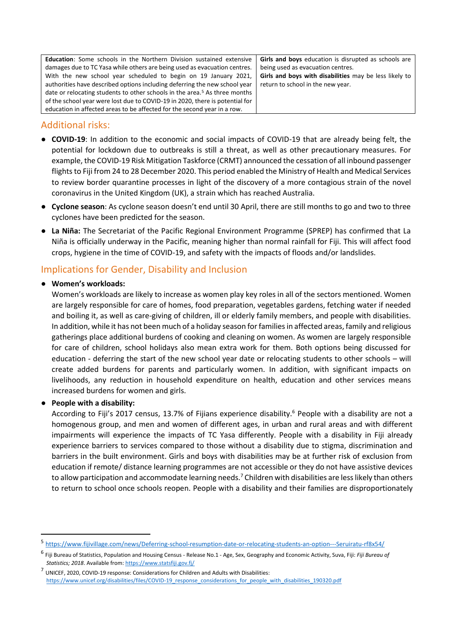**Education**: Some schools in the Northern Division sustained extensive damages due to TC Yasa while others are being used as evacuation centres. With the new school year scheduled to begin on 19 January 2021, authorities have described options including deferring the new school year date or relocating students to other schools in the area.<sup>5</sup> As three months of the school year were lost due to COVID-19 in 2020, there is potential for education in affected areas to be affected for the second year in a row.

**Girls and boys** education is disrupted as schools are being used as evacuation centres. **Girls and boys with disabilities** may be less likely to return to school in the new year.

## Additional risks:

- **COVID-19**: In addition to the economic and social impacts of COVID-19 that are already being felt, the potential for lockdown due to outbreaks is still a threat, as well as other precautionary measures. For example, the COVID-19 Risk Mitigation Taskforce (CRMT) announced the cessation of all inbound passenger flights to Fiji from 24 to 28 December 2020. This period enabled the Ministry of Health and Medical Services to review border quarantine processes in light of the discovery of a more contagious strain of the novel coronavirus in the United Kingdom (UK), a strain which has reached Australia.
- **Cyclone season**: As cyclone season doesn't end until 30 April, there are still months to go and two to three cyclones have been predicted for the season.
- **La Niña:** The Secretariat of the Pacific Regional Environment Programme (SPREP) has confirmed that La Niña is officially underway in the Pacific, meaning higher than normal rainfall for Fiji. This will affect food crops, hygiene in the time of COVID-19, and safety with the impacts of floods and/or landslides.

# Implications for Gender, Disability and Inclusion

## ● **Women's workloads:**

Women's workloads are likely to increase as women play key roles in all of the sectors mentioned. Women are largely responsible for care of homes, food preparation, vegetables gardens, fetching water if needed and boiling it, as well as care-giving of children, ill or elderly family members, and people with disabilities. In addition, while it has not been much of a holiday season for families in affected areas, family and religious gatherings place additional burdens of cooking and cleaning on women. As women are largely responsible for care of children, school holidays also mean extra work for them. Both options being discussed for education - deferring the start of the new school year date or relocating students to other schools – will create added burdens for parents and particularly women. In addition, with significant impacts on livelihoods, any reduction in household expenditure on health, education and other services means increased burdens for women and girls.

## ● **People with a disability:**

1

According to Fiji's 2017 census, 13.7% of Fijians experience disability.<sup>6</sup> People with a disability are not a homogenous group, and men and women of different ages, in urban and rural areas and with different impairments will experience the impacts of TC Yasa differently. People with a disability in Fiji already experience barriers to services compared to those without a disability due to stigma, discrimination and barriers in the built environment. Girls and boys with disabilities may be at further risk of exclusion from education if remote/ distance learning programmes are not accessible or they do not have assistive devices to allow participation and accommodate learning needs.<sup>7</sup> Children with disabilities are less likely than others to return to school once schools reopen. People with a disability and their families are disproportionately

<sup>5</sup> <https://www.fijivillage.com/news/Deferring-school-resumption-date-or-relocating-students-an-option---Seruiratu-rf8x54/>

<sup>6</sup> Fiji Bureau of Statistics, Population and Housing Census - Release No.1 - Age, Sex, Geography and Economic Activity, Suva, Fiji: *Fiji Bureau of Statistics; 2018*. Available from[: https://www.statsfiji.gov.fj/](https://www.statsfiji.gov.fj/)

 $<sup>7</sup>$  UNICEF, 2020, COVID-19 response: Considerations for Children and Adults with Disabilities:</sup> [https://www.unicef.org/disabilities/files/COVID-19\\_response\\_considerations\\_for\\_people\\_with\\_disabilities\\_190320.pdf](https://www.unicef.org/disabilities/files/COVID-19_response_considerations_for_people_with_disabilities_190320.pdf)